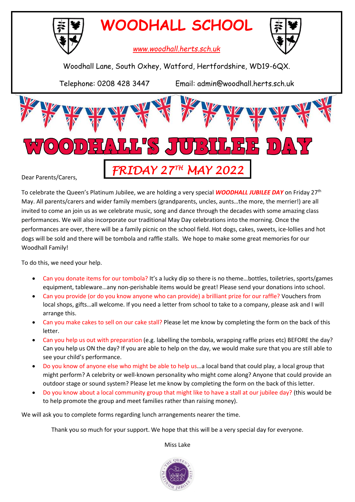

**WOODHALL SCHOOL**



*www.woodhall.herts.sch.uk*

Woodhall Lane, South Oxhey, Watford, Hertfordshire, WD19-6QX.

Telephone: 0208 428 3447 Email: admin@woodhall.herts.sch.uk



To celebrate the Queen's Platinum Jubilee, we are holding a very special *WOODHALL JUBILEE DAY* on Friday 27th May. All parents/carers and wider family members (grandparents, uncles, aunts…the more, the merrier!) are all invited to come an join us as we celebrate music, song and dance through the decades with some amazing class performances. We will also incorporate our traditional May Day celebrations into the morning. Once the performances are over, there will be a family picnic on the school field. Hot dogs, cakes, sweets, ice-lollies and hot dogs will be sold and there will be tombola and raffle stalls. We hope to make some great memories for our Woodhall Family!

To do this, we need your help.

- Can you donate items for our tombola? It's a lucky dip so there is no theme…bottles, toiletries, sports/games equipment, tableware…any non-perishable items would be great! Please send your donations into school.
- Can you provide (or do you know anyone who can provide) a brilliant prize for our raffle? Vouchers from local shops, gifts…all welcome. If you need a letter from school to take to a company, please ask and I will arrange this.
- Can you make cakes to sell on our cake stall? Please let me know by completing the form on the back of this letter.
- Can you help us out with preparation (e.g. labelling the tombola, wrapping raffle prizes etc) BEFORE the day? Can you help us ON the day? If you are able to help on the day, we would make sure that you are still able to see your child's performance.
- Do you know of anyone else who might be able to help us…a local band that could play, a local group that might perform? A celebrity or well-known personality who might come along? Anyone that could provide an outdoor stage or sound system? Please let me know by completing the form on the back of this letter.
- Do you know about a local community group that might like to have a stall at our jubilee day? (this would be to help promote the group and meet families rather than raising money).

We will ask you to complete forms regarding lunch arrangements nearer the time.

Thank you so much for your support. We hope that this will be a very special day for everyone.

Miss Lake